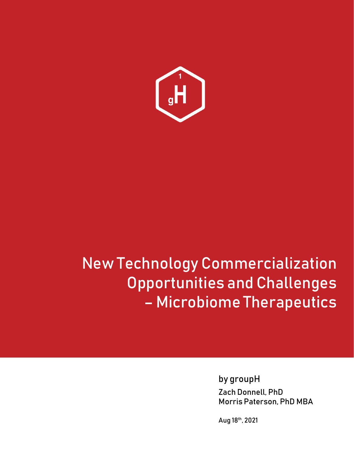

# New Technology Commercialization Opportunities and Challenges – Microbiome Therapeutics

by groupH Zach Donnell, PhD Morris Paterson, PhD MBA

Aug 18th, 2021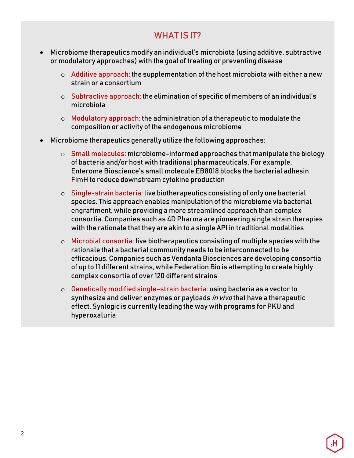# WHAT IS **IT?**

- Microbiome therapeutics modify an individual's microbiota (using additive, subtractive or modulatory approaches) with the goal of treating or preventing disease
	- $\circ$  Additive approach: the supplementation of the host microbiota with either a new strain or a consortium
	- $\circ$  Subtractive approach: the elimination of specific of members of an individual's microbiota
	- $\circ$  Modulatory approach: the administration of a therapeutic to modulate the composition or activity of the endogenous microbiome
- Microbiome therapeutics generally utilize the following approaches:
	- $\circ$  Small molecules: microbiome-informed approaches that manipulate the biology of bacteria and/or host with traditional pharmaceuticals. For example, Enterome Bioscience's small molecule EB8018 blocks the bacterial adhesin FimH to reduce downstream cytokine production
	- $\circ$  Single-strain bacteria: live biotherapeutics consisting of only one bacterial species. This approach enables manipulation of the microbiome via bacterial engraftment, while providing a more streamlined approach than complex consortia. Companies such as 4D Pharma are pioneering single strain therapies with the rationale that they are akin to a single API in traditional modalities
	- o Microbial consortia: live biotherapeutics consisting of multiple species with the rationale that a bacterial community needs to be interconnected to be efficacious. Companies such as Vendanta Biosciences are developing consortia of up to 11 different strains, while Federation Bio is attempting to create highly complex consortia of over 120 different strains
	- $\circ$  Genetically modified single-strain bacteria: using bacteria as a vector to synthesize and deliver enzymes or payloads in vivo that have a therapeutic effect. Synlogic is currently leading the way with programs for PKU and hyperoxaluria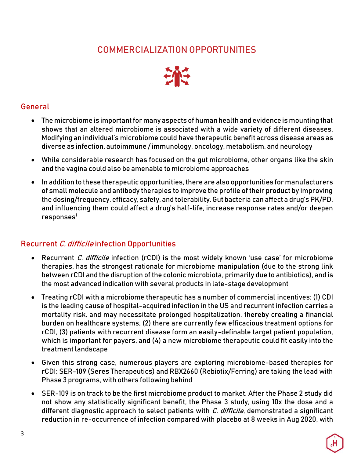# COMMERCIALIZATION OPPORTUNITIES



#### General

- The microbiome is important for many aspects of human health and evidence is mounting that shows that an altered microbiome is associated with a wide variety of different diseases. Modifying an individual's microbiome could have therapeutic benefit across disease areas as diverse as infection, autoimmune / immunology, oncology, metabolism, and neurology
- While considerable research has focused on the gut microbiome, other organs like the skin and the vagina could also be amenable to microbiome approaches
- In addition to these therapeutic opportunities, there are also opportunities for manufacturers of small molecule and antibody therapies to improve the profile of their product by improving the dosing/frequency, efficacy, safety, and tolerability. Gut bacteria can affect a drug's PK/PD, and influencing them could affect a drug's half-life, increase response rates and/or deepen  $responents<sup>1</sup>$  $responents<sup>1</sup>$  $responents<sup>1</sup>$

#### Recurrent C. difficile infection Opportunities

- Recurrent C. difficile infection (rCDI) is the most widely known 'use case' for microbiome therapies, has the strongest rationale for microbiome manipulation (due to the strong link between rCDI and the disruption of the colonic microbiota, primarily due to antibiotics), and is the most advanced indication with several products in late-stage development
- Treating rCDI with a microbiome therapeutic has a number of commercial incentives: (1) CDI is the leading cause of hospital-acquired infection in the US and recurrent infection carries a mortality risk, and may necessitate prolonged hospitalization, thereby creating a financial burden on healthcare systems, (2) there are currently few efficacious treatment options for rCDI, (3) patients with recurrent disease form an easily-definable target patient population, which is important for payers, and (4) a new microbiome therapeutic could fit easily into the treatment landscape
- Given this strong case, numerous players are exploring microbiome-based therapies for rCDI; SER-109 (Seres Therapeutics) and RBX2660 (Rebiotix/Ferring) are taking the lead with Phase 3 programs, with others following behind
- SER-109 is on track to be the first microbiome product to market. After the Phase 2 study did not show any statistically significant benefit, the Phase 3 study, using 10x the dose and a different diagnostic approach to select patients with  $C$ . difficile, demonstrated a significant reduction in re-occurrence of infection compared with placebo at 8 weeks in Aug 2020, with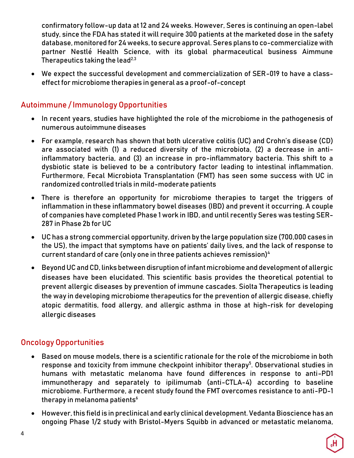confirmatory follow-up data at 12 and 24 weeks. However, Seres is continuing an open-label study, since the FDA has stated it will require 300 patients at the marketed dose in the safety database, monitored for 24 weeks, to secure approval. Seres plans to co-commercialize with partner Nestlé Health Science, with its global pharmaceutical business Aimmune Therapeutics taking the lea[d](#page-12-1)<sup>[2](#page-12-1)[,3](#page-12-2)</sup>

• We expect the successful development and commercialization of SER-019 to have a classeffect for microbiome therapies in general as a proof-of-concept

#### Autoimmune / Immunology Opportunities

- In recent years, studies have highlighted the role of the microbiome in the pathogenesis of numerous autoimmune diseases
- For example, research has shown that both ulcerative colitis (UC) and Crohn's disease (CD) are associated with (1) a reduced diversity of the microbiota, (2) a decrease in antiinflammatory bacteria, and (3) an increase in pro-inflammatory bacteria. This shift to a dysbiotic state is believed to be a contributory factor leading to intestinal inflammation. Furthermore, Fecal Microbiota Transplantation (FMT) has seen some success with UC in randomized controlled trials in mild-moderate patients
- There is therefore an opportunity for microbiome therapies to target the triggers of inflammation in these inflammatory bowel diseases (IBD) and prevent it occurring. A couple of companies have completed Phase 1 work in IBD, and until recently Seres was testing SER-287 in Phase 2b for UC
- UC has a strong commercial opportunity, driven by the large population size (700,000 cases in the US), the impact that symptoms have on patients' daily lives, and the lack of response to current standard of care (only one in three patients achieves remission[\)](#page-12-3)<sup>4</sup>
- Beyond UC and CD, links between disruption of infant microbiome and development of allergic diseases have been elucidated. This scientific basis provides the theoretical potential to prevent allergic diseases by prevention of immune cascades. Siolta Therapeutics is leading the way in developing microbiome therapeutics for the prevention of allergic disease, chiefly atopic dermatitis, food allergy, and allergic asthma in those at high-risk for developing allergic diseases

#### Oncology Opportunities

- Based on mouse models, there is a scientific rationale for the role of the microbiome in both response and toxicit[y](#page-12-4) from immune checkpoint inhibitor therapy<sup>5</sup>. Observational studies in humans with metastatic melanoma have found differences in response to anti-PD1 immunotherapy and separately to ipilimumab (anti-CTLA-4) according to baseline microbiome. Furthermore, a recent study found the FMT overcomes resistance to anti-PD-1 therapy in melanoma patient[s](#page-12-5) $6$
- However, this field is in preclinical and early clinical development. Vedanta Bioscience has an ongoing Phase 1/2 study with Bristol-Myers Squibb in advanced or metastatic melanoma,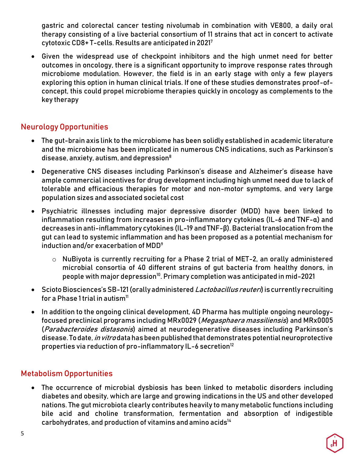gastric and colorectal cancer testing nivolumab in combination with VE800, a daily oral therapy consisting of a live bacterial consortium of 11 strains that act in concert to activate cytotoxic CD8+ T-cells. Results are anticipated in 202[1](#page-12-6)<sup>7</sup>

• Given the widespread use of checkpoint inhibitors and the high unmet need for better outcomes in oncology, there is a significant opportunity to improve response rates through microbiome modulation. However, the field is in an early stage with only a few players exploring this option in human clinical trials. If one of these studies demonstrates proof-ofconcept, this could propel microbiome therapies quickly in oncology as complements to the key therapy

#### Neurology Opportunities

- The gut-brain axis link to the microbiome has been solidly established in academic literature and the microbiome has been implicated in numerous CNS indications, such as Parkinson's disease, anxiety, autism, and depressio[n](#page-12-7)[8](#page-12-7)
- Degenerative CNS diseases including Parkinson's disease and Alzheimer's disease have ample commercial incentives for drug development including high unmet need due to lack of tolerable and efficacious therapies for motor and non-motor symptoms, and very large population sizes and associated societal cost
- Psychiatric illnesses including major depressive disorder (MDD) have been linked to inflammation resulting from increases in pro-inflammatory cytokines (IL-6 and TNF-α) and decreases in anti-inflammatory cytokines (IL-19 and TNF-β). Bacterial translocation from the gut can lead to systemic inflammation and has been proposed as a potential mechanism for induction and/or exacerbation of M[D](#page-12-8)D<sup>9</sup>
	- o NuBiyota is currently recruiting for a Phase 2 trial of MET-2, an orally administered microbial consortia of 40 different strains of gut bacteria from healthy donors, in people with major depressio[n](#page-12-9)<sup>[10](#page-12-9)</sup>. Primary completion was anticipated in mid-2021
- Scioto Biosciences's SB-121 (orally administered *Lactobacillus reuteri*) is currently recruiting for a Phase 1 trial in autis[m](#page-12-10)<sup>[11](#page-12-10)</sup>
- In addition to the ongoing clinical development, 4D Pharma has multiple ongoing neurologyfocused preclinical programs including MRx0029 (*Megasphaera massiliensis*) and MRx0005 (Parabacteroides distasonis) aimed at neurodegenerative diseases including Parkinson's disease. To date, *in vitro* data has been published that demonstrates potential neuroprotective properties via reductio[n](#page-12-11) of pro-inflammatory  $IL-6$  secretion<sup>[12](#page-12-11)</sup>

#### Metabolism Opportunities

• The occurrence of microbial dysbiosis has been linked to metabolic disorders including diabetes and obesity, which are large and growing indications in the US and other developed nations. The gut microbiota clearly contributes heavily to many metabolic functions including bile acid and choline transformation, fermentation and absorption of indigestible carbohydrate[s](#page-12-12), and production of vitamins and amino acids<sup>[14](#page-12-12)</sup>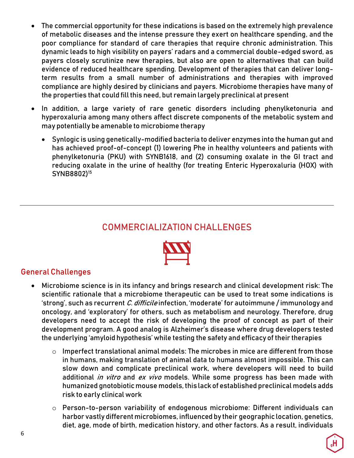- The commercial opportunity for these indications is based on the extremely high prevalence of metabolic diseases and the intense pressure they exert on healthcare spending, and the poor compliance for standard of care therapies that require chronic administration. This dynamic leads to high visibility on payers' radars and a commercial double-edged sword, as payers closely scrutinize new therapies, but also are open to alternatives that can build evidence of reduced healthcare spending. Development of therapies that can deliver longterm results from a small number of administrations and therapies with improved compliance are highly desired by clinicians and payers. Microbiome therapies have many of the properties that could fill this need, but remain largely preclinical at present
- In addition, a large variety of rare genetic disorders including phenylketonuria and hyperoxaluria among many others affect discrete components of the metabolic system and may potentially be amenable to microbiome therapy
	- Synlogic is using genetically-modified bacteria to deliver enzymes into the human gut and has achieved proof-of-concept (1) lowering Phe in healthy volunteers and patients with phenylketonuria (PKU) with SYNB1618, and (2) consuming oxalate in the GI tract and reducing oxalate in the urine of healthy (for treating Enteric Hyperoxaluria (HOX) with SYNB8802[\)](#page-12-13) [15](#page-12-13)

## COMMERCIALIZATION CHALLENGES



#### General Challenges

- Microbiome science is in its infancy and brings research and clinical development risk: The scientific rationale that a microbiome therapeutic can be used to treat some indications is 'strong', such as recurrent C. difficile infection, 'moderate' for autoimmune / immunology and oncology, and 'exploratory' for others, such as metabolism and neurology. Therefore, drug developers need to accept the risk of developing the proof of concept as part of their development program. A good analog is Alzheimer's disease where drug developers tested the underlying 'amyloid hypothesis' while testing the safety and efficacy of their therapies
	- $\circ$  Imperfect translational animal models: The microbes in mice are different from those in humans, making translation of animal data to humans almost impossible. This can slow down and complicate preclinical work, where developers will need to build additional *in vitro* and *ex vivo* models. While some progress has been made with humanized gnotobiotic mouse models, this lack of established preclinical models adds risk to early clinical work
	- o Person-to-person variability of endogenous microbiome: Different individuals can harbor vastly different microbiomes, influenced by their geographic location, genetics, diet, age, mode of birth, medication history, and other factors. As a result, individuals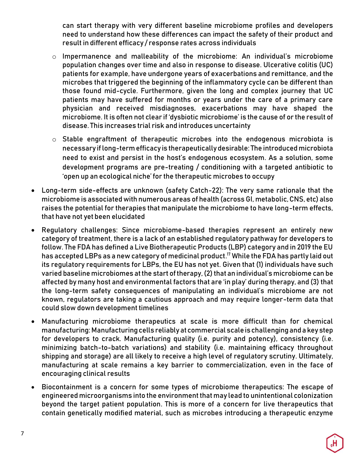can start therapy with very different baseline microbiome profiles and developers need to understand how these differences can impact the safety of their product and result in different efficacy / response rates across individuals

- o Impermanence and malleability of the microbiome: An individual's microbiome population changes over time and also in response to disease. Ulcerative colitis (UC) patients for example, have undergone years of exacerbations and remittance, and the microbes that triggered the beginning of the inflammatory cycle can be different than those found mid-cycle. Furthermore, given the long and complex journey that UC patients may have suffered for months or years under the care of a primary care physician and received misdiagnoses, exacerbations may have shaped the microbiome. It is often not clear if 'dysbiotic microbiome' is the cause of or the result of disease. This increases trial risk and introduces uncertainty
- o Stable engraftment of therapeutic microbes into the endogenous microbiota is necessary if long-term efficacy is therapeutically desirable: The introduced microbiota need to exist and persist in the host's endogenous ecosystem. As a solution, some development programs are pre-treating / conditioning with a targeted antibiotic to 'open up an ecological niche' for the therapeutic microbes to occupy
- Long-term side-effects are unknown (safety Catch-22): The very same rationale that the microbiome is associated with numerous areas of health (across GI, metabolic, CNS, etc) also raises the potential for therapies that manipulate the microbiome to have long-term effects, that have not yet been elucidated
- Regulatory challenges: Since microbiome-based therapies represent an entirely new category of treatment, there is a lack of an established regulatory pathway for developers to follow. The FDA has defined a Live Biotherapeutic Products (LBP) category and in 2019 the EU has accepted LBPs as a new category of medicinal product[.](#page-13-0) [17](#page-13-0) While the FDA has partly laid out its regulatory requirements for LBPs, the EU has not yet. Given that (1) individuals have such varied baseline microbiomes at the start of therapy, (2) that an individual's microbiome can be affected by many host and environmental factors that are 'in play' during therapy, and (3) that the long-term safety consequences of manipulating an individual's microbiome are not known, regulators are taking a cautious approach and may require longer-term data that could slow down development timelines
- Manufacturing microbiome therapeutics at scale is more difficult than for chemical manufacturing:Manufacturingcells reliably atcommercial scale is challenging and a key step for developers to crack. Manufacturing quality (i.e. purity and potency), consistency (i.e. minimizing batch-to-batch variations) and stability (i.e. maintaining efficacy throughout shipping and storage) are all likely to receive a high level of regulatory scrutiny. Ultimately, manufacturing at scale remains a key barrier to commercialization, even in the face of encouraging clinical results
- Biocontainment is a concern for some types of microbiome therapeutics: The escape of engineered microorganisms into the environment that may lead to unintentional colonization beyond the target patient population. This is more of a concern for live therapeutics that contain genetically modified material, such as microbes introducing a therapeutic enzyme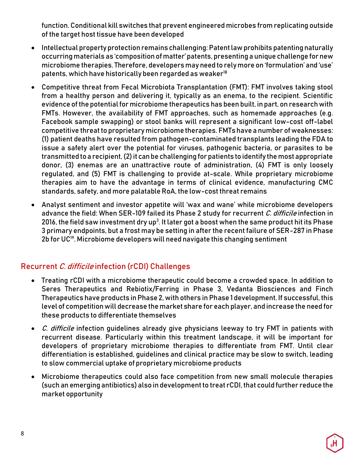function. Conditional kill switches that prevent engineered microbes from replicating outside of the target host tissue have been developed

- Intellectual property protection remains challenging: Patent law prohibits patenting naturally occurring materials as 'composition of matter' patents, presenting a unique challenge for new microbiome therapies. Therefore, developers may need to rely more on 'formulation' and 'use' patents, which have historically been regarded as weaker<sup>18</sup>
- Competitive threat from Fecal Microbiota Transplantation (FMT): FMT involves taking stool from a healthy person and delivering it, typically as an enema, to the recipient. Scientific evidence of the potential for microbiome therapeutics has been built, in part, on research with FMTs. However, the availability of FMT approaches, such as homemade approaches (e.g. Facebook sample swapping) or stool banks will represent a significant low-cost off-label competitive threat to proprietary microbiome therapies. FMTs have a number of weaknesses: (1) patient deaths have resulted from pathogen-contaminated transplants leading the FDA to issue a safety alert over the potential for viruses, pathogenic bacteria, or parasites to be transmitted to a recipient, (2) it can be challenging for patients to identify the most appropriate donor, (3) enemas are an unattractive route of administration, (4) FMT is only loosely regulated, and (5) FMT is challenging to provide at-scale. While proprietary microbiome therapies aim to have the advantage in terms of clinical evidence, manufacturing CMC standards, safety, and more palatable RoA, the low-cost threat remains
- Analyst sentiment and investor appetite will 'wax and wane' while microbiome developers advance the field: When SER-109 failed its Phase 2 study for recurrent *C. difficile* infection in 2016, the field saw investment dry up $^3$ . It later got a boost when the same product hit its Phase 3 primary endpoints, but a frost may be setting in after the recent failure of SER-287 in Phase 2b for UC<sup>19</sup>. Microbiome developers will need navigate this changing sentiment

#### Recurrent C. difficile infection (rCDI) Challenges

- Treating rCDI with a microbiome therapeutic could become a crowded space. In addition to Seres Therapeutics and Rebiotix/Ferring in Phase 3, Vedanta Biosciences and Finch Therapeutics have products in Phase 2, with others in Phase 1 development. If successful, this level of competition will decrease the market share for each player, and increase the need for these products to differentiate themselves
- C. difficile infection quidelines already give physicians leeway to try FMT in patients with recurrent disease. Particularly within this treatment landscape, it will be important for developers of proprietary microbiome therapies to differentiate from FMT. Until clear differentiation is established, guidelines and clinical practice may be slow to switch, leading to slow commercial uptake of proprietary microbiome products
- Microbiome therapeutics could also face competition from new small molecule therapies (such an emerging antibiotics) also in development to treat rCDI, that could further reduce the market opportunity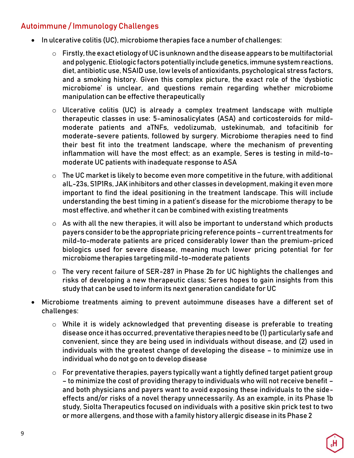### Autoimmune / Immunology Challenges

- In ulcerative colitis (UC), microbiome therapies face a number of challenges:
	- $\circ$  Firstly, the exact etiology of UC is unknown and the disease appears to be multifactorial and polygenic. Etiologic factors potentially include genetics, immune system reactions, diet, antibiotic use, NSAID use, low levels of antioxidants, psychological stress factors, and a smoking history. Given this complex picture, the exact role of the 'dysbiotic microbiome' is unclear, and questions remain regarding whether microbiome manipulation can be effective therapeutically
	- o Ulcerative colitis (UC) is already a complex treatment landscape with multiple therapeutic classes in use: 5-aminosalicylates (ASA) and corticosteroids for mildmoderate patients and aTNFs, vedolizumab, ustekinumab, and tofacitinib for moderate-severe patients, followed by surgery. Microbiome therapies need to find their best fit into the treatment landscape, where the mechanism of preventing inflammation will have the most effect; as an example, Seres is testing in mild-tomoderate UC patients with inadequate response to ASA
	- $\circ$  The UC market is likely to become even more competitive in the future, with additional aIL-23s, S1P1Rs, JAK inhibitors and other classes in development, making it even more important to find the ideal positioning in the treatment landscape. This will include understanding the best timing in a patient's disease for the microbiome therapy to be most effective, and whether it can be combined with existing treatments
	- $\circ$  As with all the new therapies, it will also be important to understand which products payers consider to be the appropriate pricing reference points – current treatments for mild-to-moderate patients are priced considerably lower than the premium-priced biologics used for severe disease, meaning much lower pricing potential for for microbiome therapies targeting mild-to-moderate patients
	- o The very recent failure of SER-287 in Phase 2b for UC highlights the challenges and risks of developing a new therapeutic class; Seres hopes to gain insights from this study that can be used to inform its next generation candidate for UC
- Microbiome treatments aiming to prevent autoimmune diseases have a different set of challenges:
	- o While it is widely acknowledged that preventing disease is preferable to treating disease once it has occurred, preventative therapies need to be (1) particularly safe and convenient, since they are being used in individuals without disease, and (2) used in individuals with the greatest change of developing the disease – to minimize use in individual who do not go on to develop disease
	- $\circ$  For preventative therapies, payers typically want a tightly defined target patient group – to minimize the cost of providing therapy to individuals who will not receive benefit – and both physicians and payers want to avoid exposing these individuals to the sideeffects and/or risks of a novel therapy unnecessarily. As an example, in its Phase 1b study, Siolta Therapeutics focused on individuals with a positive skin prick test to two or more allergens, and those with a family history allergic disease in its Phase 2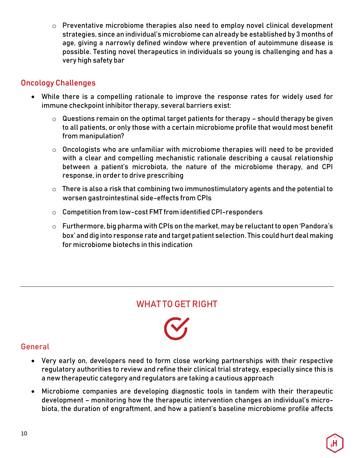o Preventative microbiome therapies also need to employ novel clinical development strategies, since an individual's microbiome can already be established by 3 months of age, giving a narrowly defined window where prevention of autoimmune disease is possible. Testing novel therapeutics in individuals so young is challenging and has a very high safety bar

#### Oncology Challenges

- While there is a compelling rationale to improve the response rates for widely used for immune checkpoint inhibitor therapy, several barriers exist:
	- $\circ$  Questions remain on the optimal target patients for therapy should therapy be given to all patients, or only those with a certain microbiome profile that would most benefit from manipulation?
	- o Oncologists who are unfamiliar with microbiome therapies will need to be provided with a clear and compelling mechanistic rationale describing a causal relationship between a patient's microbiota, the nature of the microbiome therapy, and CPI response, in order to drive prescribing
	- $\circ$  There is also a risk that combining two immunostimulatory agents and the potential to worsen gastrointestinal side-effects from CPIs
	- o Competition from low-cost FMT from identified CPI-responders
	- o Furthermore, big pharma with CPIs on the market, may be reluctant to open 'Pandora's box' and dig into response rate and target patient selection. This could hurt deal making for microbiome biotechs in this indication

## WHAT TO GET RIGHT

#### General

- Very early on, developers need to form close working partnerships with their respective regulatory authorities to review and refine their clinical trial strategy, especially since this is a new therapeutic category and regulators are taking a cautious approach
- Microbiome companies are developing diagnostic tools in tandem with their therapeutic development – monitoring how the therapeutic intervention changes an individual's microbiota, the duration of engraftment, and how a patient's baseline microbiome profile affects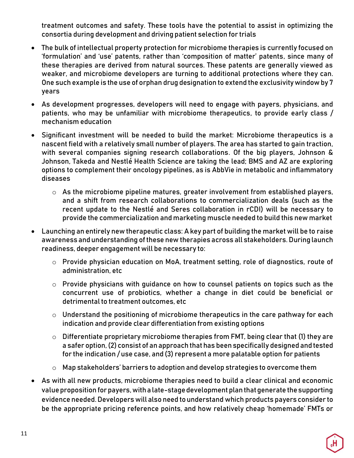treatment outcomes and safety. These tools have the potential to assist in optimizing the consortia during development and driving patient selection for trials

- The bulk of intellectual property protection for microbiome therapies is currently focused on 'formulation' and 'use' patents, rather than 'composition of matter' patents, since many of these therapies are derived from natural sources. These patents are generally viewed as weaker, and microbiome developers are turning to additional protections where they can. One such example is the use of orphan drug designation to extend the exclusivity window by 7 years
- As development progresses, developers will need to engage with payers, physicians, and patients, who may be unfamiliar with microbiome therapeutics, to provide early class / mechanism education
- Significant investment will be needed to build the market: Microbiome therapeutics is a nascent field with a relatively small number of players. The area has started to gain traction, with several companies signing research collaborations. Of the big players, Johnson & Johnson, Takeda and Nestlé Health Science are taking the lead; BMS and AZ are exploring options to complement their oncology pipelines, as is AbbVie in metabolic and inflammatory diseases
	- $\circ$  As the microbiome pipeline matures, greater involvement from established players, and a shift from research collaborations to commercialization deals (such as the recent update to the Nestlé and Seres collaboration in rCDI) will be necessary to provide the commercialization and marketing muscle needed to build this new market
- Launching an entirely new therapeutic class: A key part of building the market will be to raise awareness and understanding of these new therapies across all stakeholders. During launch readiness, deeper engagement will be necessary to:
	- o Provide physician education on MoA, treatment setting, role of diagnostics, route of administration, etc
	- o Provide physicians with guidance on how to counsel patients on topics such as the concurrent use of probiotics, whether a change in diet could be beneficial or detrimental to treatment outcomes, etc
	- $\circ$  Understand the positioning of microbiome therapeutics in the care pathway for each indication and provide clear differentiation from existing options
	- $\circ$  Differentiate proprietary microbiome therapies from FMT, being clear that (1) they are a safer option, (2) consist of an approach that has been specifically designed and tested for the indication / use case, and (3) represent a more palatable option for patients
	- o Map stakeholders' barriers to adoption and develop strategies to overcome them
- As with all new products, microbiome therapies need to build a clear clinical and economic value proposition forpayers, with a late-stage development plan that generate the supporting evidence needed. Developers will also need to understand which products payers consider to be the appropriate pricing reference points, and how relatively cheap 'homemade' FMTs or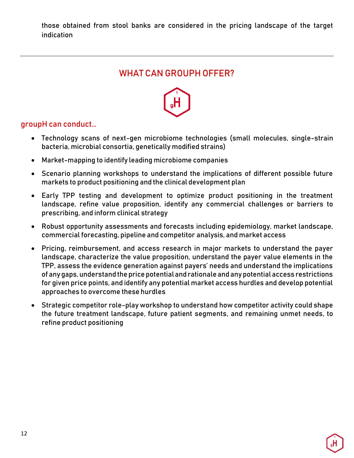those obtained from stool banks are considered in the pricing landscape of the target indication

## WHAT CAN GROUPH OFFER?



#### groupH can conduct…

- Technology scans of next-gen microbiome technologies (small molecules, single-strain bacteria, microbial consortia, genetically modified strains)
- Market-mapping to identify leading microbiome companies
- Scenario planning workshops to understand the implications of different possible future markets to product positioning and the clinical development plan
- Early TPP testing and development to optimize product positioning in the treatment landscape, refine value proposition, identify any commercial challenges or barriers to prescribing, and inform clinical strategy
- Robust opportunity assessments and forecasts including epidemiology, market landscape, commercial forecasting, pipeline and competitor analysis, and market access
- Pricing, reimbursement, and access research in major markets to understand the payer landscape, characterize the value proposition, understand the payer value elements in the TPP, assess the evidence generation against payers' needs and understand the implications of any gaps, understand the price potential and rationale and any potential access restrictions for given price points, and identify any potential market access hurdles and develop potential approaches to overcome these hurdles
- Strategic competitor role-play workshop to understand how competitor activity could shape the future treatment landscape, future patient segments, and remaining unmet needs, to refine product positioning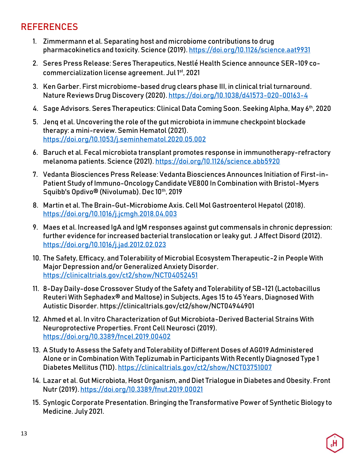# **REFERENCES**

- <span id="page-12-0"></span>1. Zimmermann et al. Separating host and microbiome contributions to drug pharmacokinetics and toxicity. Science (2019).<https://doi.org/10.1126/science.aat9931>
- <span id="page-12-1"></span>2. Seres Press Release: Seres Therapeutics, Nestlé Health Science announce SER-109 cocommercialization license agreement. Jul 1st, 2021
- <span id="page-12-2"></span>3. Ken Garber. First microbiome-based drug clears phase III, in clinical trial turnaround. Nature Reviews Drug Discovery (2020)[. https://doi.org/10.1038/d41573-020-00163-4](https://doi.org/10.1038/d41573-020-00163-4)
- <span id="page-12-3"></span>4. Sage Advisors. Seres Therapeutics: Clinical Data Coming Soon. Seeking Alpha, May 6th, 2020
- <span id="page-12-4"></span>5. Jenq et al. Uncovering the role of the gut microbiota in immune checkpoint blockade therapy: a mini-review. Semin Hematol (2021). <https://doi.org/10.1053/j.seminhematol.2020.05.002>
- <span id="page-12-5"></span>6. Baruch et al. Fecal microbiota transplant promotes response in immunotherapy-refractory melanoma patients. Science (2021)[. https://doi.org/10.1126/science.abb5920](https://doi.org/10.1126/science.abb5920)
- <span id="page-12-6"></span>7. Vedanta Biosciences Press Release: Vedanta Biosciences Announces Initiation of First-in-Patient Study of Immuno-Oncology Candidate VE800 In Combination with Bristol-Myers Squibb's Opdivo® (Nivolumab). Dec 10<sup>th</sup>, 2019
- <span id="page-12-7"></span>8. Martin et al. The Brain-Gut-Microbiome Axis. Cell Mol Gastroenterol Hepatol (2018). <https://doi.org/10.1016/j.jcmgh.2018.04.003>
- <span id="page-12-8"></span>9. Maes et al. Increased IgA and IgM responses against gut commensals in chronic depression: further evidence for increased bacterial translocation or leaky gut. J Affect Disord (2012). <https://doi.org/10.1016/j.jad.2012.02.023>
- <span id="page-12-9"></span>10. The Safety, Efficacy, and Tolerability of Microbial Ecosystem Therapeutic-2 in People With Major Depression and/or Generalized Anxiety Disorder. <https://clinicaltrials.gov/ct2/show/NCT04052451>
- <span id="page-12-10"></span>11. 8-Day Daily-dose Crossover Study of the Safety and Tolerability of SB-121 (Lactobacillus Reuteri With Sephadex® and Maltose) in Subjects, Ages 15 to 45 Years, Diagnosed With Autistic Disorder. https://clinicaltrials.gov/ct2/show/NCT04944901
- <span id="page-12-11"></span>12. Ahmed et al. In vitro Characterization of Gut Microbiota-Derived Bacterial Strains With Neuroprotective Properties. Front Cell Neurosci (2019). <https://doi.org/10.3389/fncel.2019.00402>
- 13. A Study to Assess the Safety and Tolerability of Different Doses of AG019 Administered Alone or in Combination With Teplizumab in Participants With Recently Diagnosed Type 1 Diabetes Mellitus (T1D)[. https://clinicaltrials.gov/ct2/show/NCT03751007](https://clinicaltrials.gov/ct2/show/NCT03751007)
- <span id="page-12-12"></span>14. Lazar et al. Gut Microbiota, Host Organism, and Diet Trialogue in Diabetes and Obesity. Front Nutr (2019)[. https://doi.org/10.3389/fnut.2019.00021](https://doi.org/10.3389/fnut.2019.00021)
- <span id="page-12-13"></span>15. Synlogic Corporate Presentation. Bringing the Transformative Power of Synthetic Biology to Medicine. July 2021.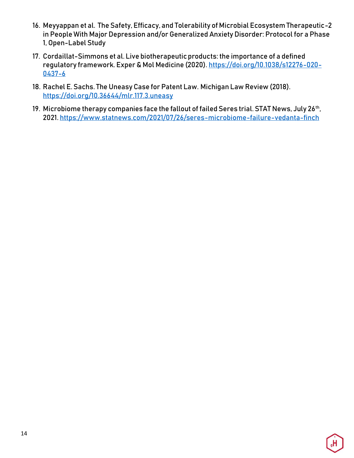- 16. Meyyappan et al. The Safety, Efficacy, and Tolerability of Microbial Ecosystem Therapeutic-2 in People With Major Depression and/or Generalized Anxiety Disorder: Protocol for a Phase 1, Open-Label Study
- <span id="page-13-0"></span>17. Cordaillat-Simmons et al. Live biotherapeutic products: the importance of a defined regulatory framework. Exper & Mol Medicine (2020)[. https://doi.org/10.1038/s12276-020-](https://doi.org/10.1038/s12276-020-0437-6) [0437-6](https://doi.org/10.1038/s12276-020-0437-6)
- 18. Rachel E. Sachs. The Uneasy Case for Patent Law. Michigan Law Review (2018). <https://doi.org/10.36644/mlr.117.3.uneasy>
- 19. Microbiome therapy companies face the fallout of failed Seres trial. STAT News, July 26th, 2021[. https://www.statnews.com/2021/07/26/seres-microbiome-failure-vedanta-finch](https://www.statnews.com/2021/07/26/seres-microbiome-failure-vedanta-finch)